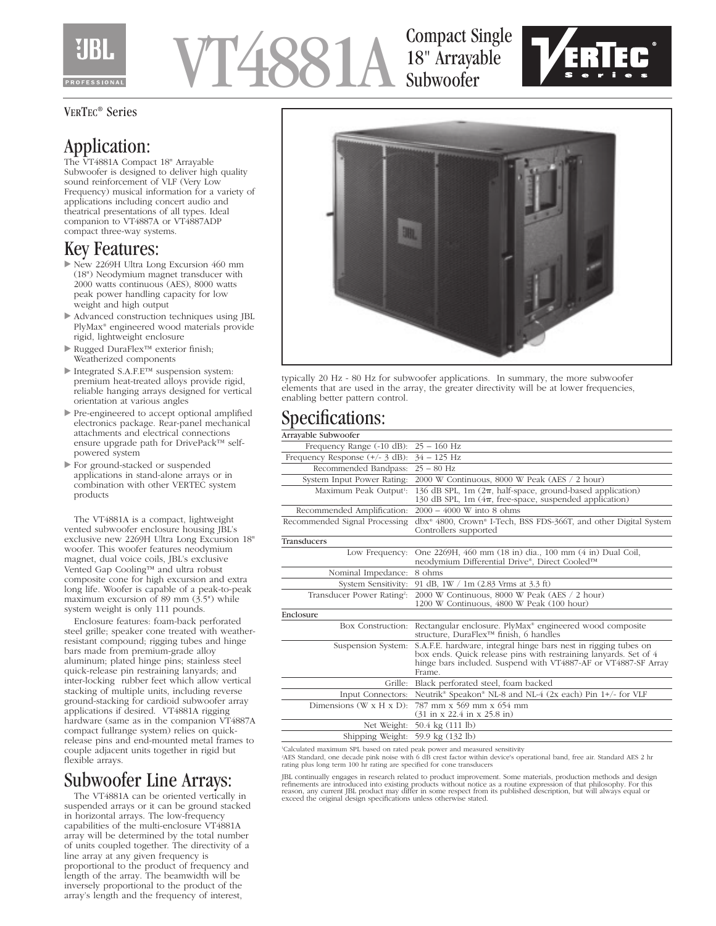

# VT4881A

## Compact Single 18" Arrayable Subwoofer



#### VERTEC® Series

# Application:

The VT4881A Compact 18" Arrayable Subwoofer is designed to deliver high quality sound reinforcement of VLF (Very Low Frequency) musical information for a variety of applications including concert audio and theatrical presentations of all types. Ideal companion to VT4887A or VT4887ADP compact three-way systems.

#### Key Features:

- New 2269H Ultra Long Excursion 460 mm (18") Neodymium magnet transducer with 2000 watts continuous (AES), 8000 watts peak power handling capacity for low weight and high output
- Advanced construction techniques using JBL PlyMax® engineered wood materials provide rigid, lightweight enclosure
- Rugged DuraFlex™ exterior finish; Weatherized components
- Integrated S.A.F.E™ suspension system: premium heat-treated alloys provide rigid, reliable hanging arrays designed for vertical orientation at various angles
- Pre-engineered to accept optional amplified electronics package. Rear-panel mechanical attachments and electrical connections ensure upgrade path for DrivePack™ selfpowered system
- For ground-stacked or suspended applications in stand-alone arrays or in combination with other VERTEC system products

The VT4881A is a compact, lightweight vented subwoofer enclosure housing JBL's exclusive new 2269H Ultra Long Excursion 18" woofer. This woofer features neodymium magnet, dual voice coils, JBL's exclusive Vented Gap Cooling™ and ultra robust composite cone for high excursion and extra long life. Woofer is capable of a peak-to-peak maximum excursion of 89 mm (3.5") while system weight is only 111 pounds.

Enclosure features: foam-back perforated steel grille; speaker cone treated with weatherresistant compound; rigging tubes and hinge bars made from premium-grade alloy aluminum; plated hinge pins; stainless steel quick-release pin restraining lanyards; and inter-locking rubber feet which allow vertical stacking of multiple units, including reverse ground-stacking for cardioid subwoofer array applications if desired. VT4881A rigging hardware (same as in the companion VT4887A compact fullrange system) relies on quickrelease pins and end-mounted metal frames to couple adjacent units together in rigid but flexible arrays.

## Subwoofer Line Arrays:

The VT4881A can be oriented vertically in suspended arrays or it can be ground stacked in horizontal arrays. The low-frequency capabilities of the multi-enclosure VT4881A array will be determined by the total number of units coupled together. The directivity of a line array at any given frequency is proportional to the product of frequency and length of the array. The beamwidth will be inversely proportional to the product of the array's length and the frequency of interest,



typically 20 Hz - 80 Hz for subwoofer applications. In summary, the more subwoofer elements that are used in the array, the greater directivity will be at lower frequencies, enabling better pattern control.

## Specifications:

| Arrayable Subwoofer                              |                                                                                                                                                                                                                |
|--------------------------------------------------|----------------------------------------------------------------------------------------------------------------------------------------------------------------------------------------------------------------|
| Frequency Range $(-10 \text{ dB})$ : 25 - 160 Hz |                                                                                                                                                                                                                |
| Frequency Response $(+/- 3$ dB):                 | $34 - 125$ Hz                                                                                                                                                                                                  |
| Recommended Bandpass:                            | $25 - 80$ Hz                                                                                                                                                                                                   |
| System Input Power Rating:                       | 2000 W Continuous, 8000 W Peak (AES / 2 hour)                                                                                                                                                                  |
| Maximum Peak Output <sup>1</sup> :               | 136 dB SPL, 1m $(2\pi, \text{ half-space}, \text{ ground-based application})$<br>130 dB SPL, 1m $(4\pi,$ free-space, suspended application)                                                                    |
| Recommended Amplification:                       | $2000 - 4000$ W into 8 ohms                                                                                                                                                                                    |
| Recommended Signal Processing                    | dbx <sup>®</sup> 4800, Crown® I-Tech, BSS FDS-366T, and other Digital System<br>Controllers supported                                                                                                          |
| Transducers                                      |                                                                                                                                                                                                                |
| Low Frequency:                                   | One 2269H, 460 mm (18 in) dia., 100 mm (4 in) Dual Coil,<br>neodymium Differential Drive®, Direct Cooled™                                                                                                      |
| Nominal Impedance:                               | 8 ohms                                                                                                                                                                                                         |
| System Sensitivity:                              | 91 dB, 1W / 1m (2.83 Vrms at 3.3 ft)                                                                                                                                                                           |
| Transducer Power Rating?:                        | 2000 W Continuous, 8000 W Peak (AES / 2 hour)<br>1200 W Continuous, 4800 W Peak (100 hour)                                                                                                                     |
| Enclosure                                        |                                                                                                                                                                                                                |
| Box Construction:                                | Rectangular enclosure. PlyMax <sup>®</sup> engineered wood composite<br>structure. DuraFlex <sup>™</sup> finish. 6 handles                                                                                     |
| Suspension System:                               | S.A.F.E. hardware, integral hinge bars nest in rigging tubes on<br>box ends. Quick release pins with restraining lanyards. Set of 4<br>hinge bars included. Suspend with VT4887-AF or VT4887-SF Array<br>Frame |
|                                                  | Grille: Black perforated steel, foam backed                                                                                                                                                                    |
| Input Connectors:                                | Neutrik® Speakon® NL-8 and NL-4 (2x each) Pin 1+/- for VLF                                                                                                                                                     |
| Dimensions $(W \times H \times D)$ :             | 787 mm x 569 mm x 654 mm<br>$(31 \text{ in } x \text{ 22.4 in } x \text{ 25.8 in})$                                                                                                                            |
|                                                  | Net Weight: 50.4 kg (111 lb)                                                                                                                                                                                   |
| Shipping Weight: 59.9 kg (132 lb)                |                                                                                                                                                                                                                |
|                                                  |                                                                                                                                                                                                                |

1 Calculated maximum SPL based on rated peak power and measured sensitivity 2 AES Standard, one decade pink noise with 6 dB crest factor within device's operational band, free air. Standard AES 2 hr rating plus long term 100 hr rating are specified for cone transducers

JBL continually engages in research related to product improvement. Some materials, production methods and design<br>refinements are introduced into existing products without notice as a routine expression of that philosophy.